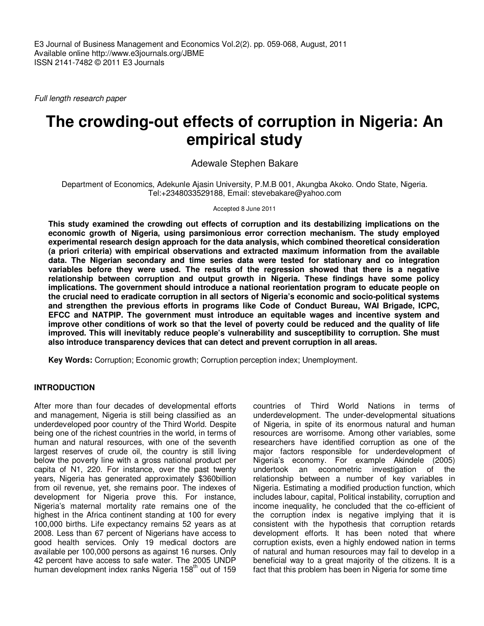Full length research paper

# **The crowding-out effects of corruption in Nigeria: An empirical study**

Adewale Stephen Bakare

Department of Economics, Adekunle Ajasin University, P.M.B 001, Akungba Akoko. Ondo State, Nigeria. Tel:+2348033529188, Email: stevebakare@yahoo.com

Accepted 8 June 2011

**This study examined the crowding out effects of corruption and its destabilizing implications on the economic growth of Nigeria, using parsimonious error correction mechanism. The study employed experimental research design approach for the data analysis, which combined theoretical consideration (a priori criteria) with empirical observations and extracted maximum information from the available data. The Nigerian secondary and time series data were tested for stationary and co integration variables before they were used. The results of the regression showed that there is a negative relationship between corruption and output growth in Nigeria. These findings have some policy implications. The government should introduce a national reorientation program to educate people on the crucial need to eradicate corruption in all sectors of Nigeria's economic and socio-political systems and strengthen the previous efforts in programs like Code of Conduct Bureau, WAI Brigade, ICPC, EFCC and NATPIP. The government must introduce an equitable wages and incentive system and improve other conditions of work so that the level of poverty could be reduced and the quality of life improved. This will inevitably reduce people's vulnerability and susceptibility to corruption. She must also introduce transparency devices that can detect and prevent corruption in all areas.** 

**Key Words:** Corruption; Economic growth; Corruption perception index; Unemployment.

# **INTRODUCTION**

After more than four decades of developmental efforts and management, Nigeria is still being classified as an underdeveloped poor country of the Third World. Despite being one of the richest countries in the world, in terms of human and natural resources, with one of the seventh largest reserves of crude oil, the country is still living below the poverty line with a gross national product per capita of N1, 220. For instance, over the past twenty years, Nigeria has generated approximately \$360billion from oil revenue, yet, she remains poor. The indexes of development for Nigeria prove this. For instance, Nigeria's maternal mortality rate remains one of the highest in the Africa continent standing at 100 for every 100,000 births. Life expectancy remains 52 years as at 2008. Less than 67 percent of Nigerians have access to good health services. Only 19 medical doctors are available per 100,000 persons as against 16 nurses. Only 42 percent have access to safe water. The 2005 UNDP human development index ranks Nigeria 158<sup>th</sup> out of 159

countries of Third World Nations in terms of underdevelopment. The under-developmental situations of Nigeria, in spite of its enormous natural and human resources are worrisome. Among other variables, some researchers have identified corruption as one of the major factors responsible for underdevelopment of Nigeria's economy. For example Akindele (2005) undertook an econometric investigation of the relationship between a number of key variables in Nigeria. Estimating a modified production function, which includes labour, capital, Political instability, corruption and income inequality, he concluded that the co-efficient of the corruption index is negative implying that it is consistent with the hypothesis that corruption retards development efforts. It has been noted that where corruption exists, even a highly endowed nation in terms of natural and human resources may fail to develop in a beneficial way to a great majority of the citizens. It is a fact that this problem has been in Nigeria for some time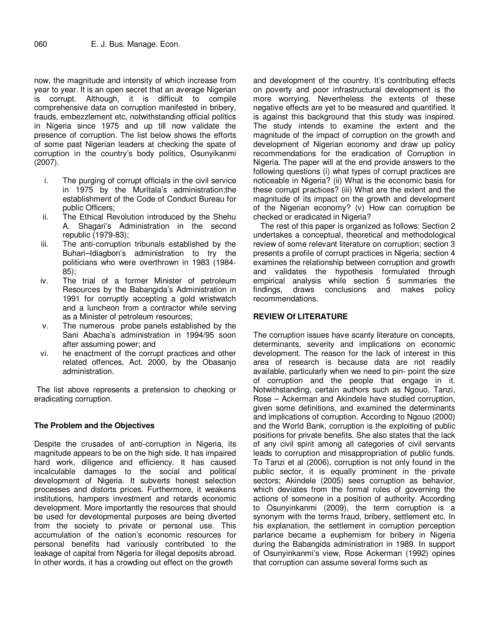now, the magnitude and intensity of which increase from year to year. It is an open secret that an average Nigerian is corrupt. Although, it is difficult to compile comprehensive data on corruption manifested in bribery, frauds, embezzlement etc, notwithstanding official politics in Nigeria since 1975 and up till now validate the presence of corruption. The list below shows the efforts of some past Nigerian leaders at checking the spate of corruption in the country's body politics, Osunyikanmi (2007).

- i. The purging of corrupt officials in the civil service in 1975 by the Muritala's administration;the establishment of the Code of Conduct Bureau for public Officers;
- ii. The Ethical Revolution introduced by the Shehu A. Shagari's Administration in the second republic (1979-83);
- iii. The anti-corruption tribunals established by the Buhari–Idiagbon's administration to try the politicians who were overthrown in 1983 (1984- 85);
- iv. The trial of a former Minister of petroleum Resources by the Babangida's Administration in 1991 for corruptly accepting a gold wristwatch and a luncheon from a contractor while serving as a Minister of petroleum resources;
- v. The numerous probe panels established by the Sani Abacha's administration in 1994/95 soon after assuming power; and
- vi. he enactment of the corrupt practices and other related offences, Act. 2000, by the Obasanjo administration.

 The list above represents a pretension to checking or eradicating corruption.

# **The Problem and the Objectives**

Despite the crusades of anti-corruption in Nigeria, its magnitude appears to be on the high side. It has impaired hard work, diligence and efficiency. It has caused incalculable damages to the social and political development of Nigeria. It subverts honest selection processes and distorts prices. Furthermore, it weakens institutions, hampers investment and retards economic development. More importantly the resources that should be used for developmental purposes are being diverted from the society to private or personal use. This accumulation of the nation's economic resources for personal benefits had variously contributed to the leakage of capital from Nigeria for illegal deposits abroad. In other words, it has a crowding out effect on the growth

and development of the country. It's contributing effects on poverty and poor infrastructural development is the more worrying. Nevertheless the extents of these negative effects are yet to be measured and quantified. It is against this background that this study was inspired. The study intends to examine the extent and the magnitude of the impact of corruption on the growth and development of Nigerian economy and draw up policy recommendations for the eradication of Corruption in Nigeria. The paper will at the end provide answers to the following questions (i) what types of corrupt practices are noticeable in Nigeria? (ii) What is the economic basis for these corrupt practices? (iii) What are the extent and the magnitude of its impact on the growth and development of the Nigerian economy? (v) How can corruption be checked or eradicated in Nigeria?

The rest of this paper is organized as follows: Section 2 undertakes a conceptual, theoretical and methodological review of some relevant literature on corruption; section 3 presents a profile of corrupt practices in Nigeria; section 4 examines the relationship between corruption and growth and validates the hypothesis formulated through empirical analysis while section 5 summaries the findings, draws conclusions and makes policy recommendations.

# **REVIEW Of LITERATURE**

The corruption issues have scanty literature on concepts, determinants, severity and implications on economic development. The reason for the lack of interest in this area of research is because data are not readily available, particularly when we need to pin- point the size of corruption and the people that engage in it. Notwithstanding, certain authors such as Ngouo, Tanzi, Rose – Ackerman and Akindele have studied corruption, given some definitions, and examined the determinants and implications of corruption. According to Ngouo (2000) and the World Bank, corruption is the exploiting of public positions for private benefits. She also states that the lack of any civil spirit among all categories of civil servants leads to corruption and misappropriation of public funds. To Tanzi et al (2006), corruption is not only found in the public sector, it is equally prominent in the private sectors; Akindele (2005) sees corruption as behavior, which deviates from the formal rules of governing the actions of someone in a position of authority. According to Osunyinkanmi (2009), the term corruption is a synonym with the terms fraud, bribery, settlement etc. In his explanation, the settlement in corruption perception parlance became a euphemism for bribery in Nigeria during the Babangida administration in 1989. In support of Osunyinkanmi's view, Rose Ackerman (1992) opines that corruption can assume several forms such as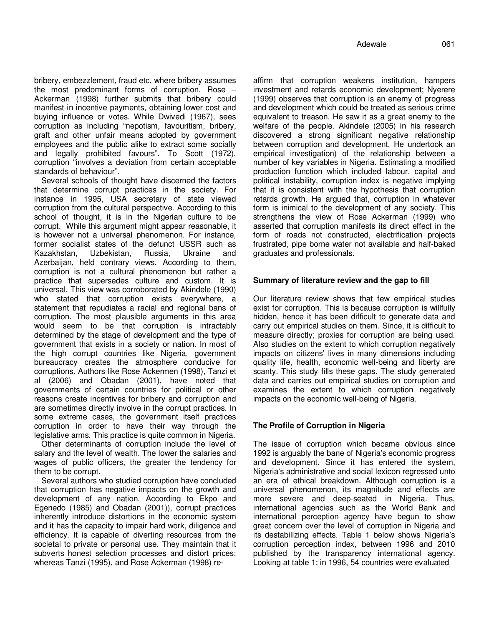bribery, embezzlement, fraud etc, where bribery assumes the most predominant forms of corruption. Rose – Ackerman (1998) further submits that bribery could manifest in incentive payments, obtaining lower cost and buying influence or votes. While Dwivedi (1967), sees corruption as including "nepotism, favouritism, bribery, graft and other unfair means adopted by government employees and the public alike to extract some socially and legally prohibited favours". To Scott (1972), corruption "involves a deviation from certain acceptable standards of behaviour".

Several schools of thought have discerned the factors that determine corrupt practices in the society. For instance in 1995, USA secretary of state viewed corruption from the cultural perspective. According to this school of thought, it is in the Nigerian culture to be corrupt. While this argument might appear reasonable, it is however not a universal phenomenon. For instance, former socialist states of the defunct USSR such as Kazakhstan, Uzbekistan, Russia, Ukraine and Azerbaijan, held contrary views. According to them, corruption is not a cultural phenomenon but rather a practice that supersedes culture and custom. It is universal. This view was corroborated by Akindele (1990) who stated that corruption exists everywhere, a statement that repudiates a racial and regional bans of corruption. The most plausible arguments in this area would seem to be that corruption is intractably determined by the stage of development and the type of government that exists in a society or nation. In most of the high corrupt countries like Nigeria, government bureaucracy creates the atmosphere conducive for corruptions. Authors like Rose Ackermen (1998), Tanzi et al (2006) and Obadan (2001), have noted that governments of certain countries for political or other reasons create incentives for bribery and corruption and are sometimes directly involve in the corrupt practices. In some extreme cases, the government itself practices corruption in order to have their way through the legislative arms. This practice is quite common in Nigeria.

Other determinants of corruption include the level of salary and the level of wealth. The lower the salaries and wages of public officers, the greater the tendency for them to be corrupt.

Several authors who studied corruption have concluded that corruption has negative impacts on the growth and development of any nation. According to Ekpo and Egenedo (1985) and Obadan (2001)), corrupt practices inherently introduce distortions in the economic system and it has the capacity to impair hard work, diligence and efficiency. It is capable of diverting resources from the societal to private or personal use. They maintain that it subverts honest selection processes and distort prices; whereas Tanzi (1995), and Rose Ackerman (1998) reaffirm that corruption weakens institution, hampers investment and retards economic development; Nyerere (1999) observes that corruption is an enemy of progress and development which could be treated as serious crime equivalent to treason. He saw it as a great enemy to the welfare of the people. Akindele (2005) in his research discovered a strong significant negative relationship between corruption and development. He undertook an empirical investigation) of the relationship between a number of key variables in Nigeria. Estimating a modified production function which included labour, capital and political instability, corruption index is negative implying that it is consistent with the hypothesis that corruption retards growth. He argued that, corruption in whatever form is inimical to the development of any society. This strengthens the view of Rose Ackerman (1999) who asserted that corruption manifests its direct effect in the form of roads not constructed, electrification projects frustrated, pipe borne water not available and half-baked graduates and professionals.

# **Summary of literature review and the gap to fill**

Our literature review shows that few empirical studies exist for corruption. This is because corruption is willfully hidden, hence it has been difficult to generate data and carry out empirical studies on them. Since, it is difficult to measure directly; proxies for corruption are being used. Also studies on the extent to which corruption negatively impacts on citizens' lives in many dimensions including quality life, health, economic well-being and liberty are scanty. This study fills these gaps. The study generated data and carries out empirical studies on corruption and examines the extent to which corruption negatively impacts on the economic well-being of Nigeria.

# **The Profile of Corruption in Nigeria**

The issue of corruption which became obvious since 1992 is arguably the bane of Nigeria's economic progress and development. Since it has entered the system, Nigeria's administrative and social lexicon regressed unto an era of ethical breakdown. Although corruption is a universal phenomenon, its magnitude and effects are more severe and deep-seated in Nigeria. Thus, international agencies such as the World Bank and international perception agency have begun to show great concern over the level of corruption in Nigeria and its destabilizing effects. Table 1 below shows Nigeria's corruption perception index, between 1996 and 2010 published by the transparency international agency. Looking at table 1; in 1996, 54 countries were evaluated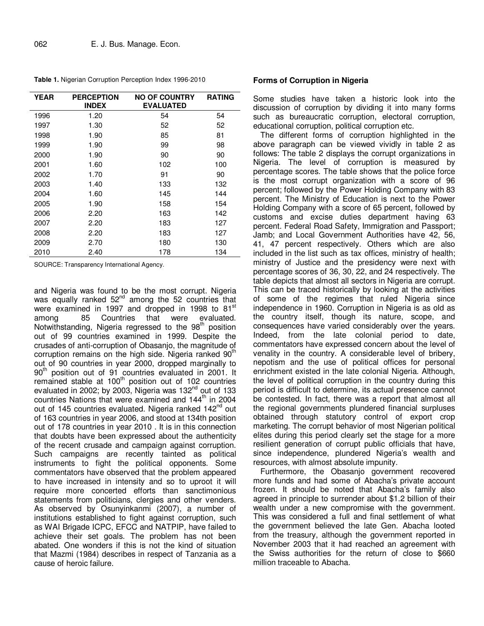**Table 1.** Nigerian Corruption Perception Index 1996-2010

| <b>YEAR</b> | <b>PERCEPTION</b><br><b>INDEX</b> | <b>NO OF COUNTRY</b><br><b>EVALUATED</b> | <b>RATING</b> |
|-------------|-----------------------------------|------------------------------------------|---------------|
| 1996        | 1.20                              | 54                                       | 54            |
| 1997        | 1.30                              | 52                                       | 52            |
| 1998        | 1.90                              | 85                                       | 81            |
| 1999        | 1.90                              | 99                                       | 98            |
| 2000        | 1.90                              | 90                                       | 90            |
| 2001        | 1.60                              | 102                                      | 100           |
| 2002        | 1.70                              | 91                                       | 90            |
| 2003        | 1.40                              | 133                                      | 132           |
| 2004        | 1.60                              | 145                                      | 144           |
| 2005        | 1.90                              | 158                                      | 154           |
| 2006        | 2.20                              | 163                                      | 142           |
| 2007        | 2.20                              | 183                                      | 127           |
| 2008        | 2.20                              | 183                                      | 127           |
| 2009        | 2.70                              | 180                                      | 130           |
| 2010        | 2.40                              | 178                                      | 134           |

SOURCE: Transparency International Agency.

and Nigeria was found to be the most corrupt. Nigeria was equally ranked  $52^{nd}$  among the 52 countries that were examined in 1997 and dropped in 1998 to  $81<sup>st</sup>$  among  $85$  Countries that were evaluated. among 85 Countries that were evaluated. Notwithstanding, Nigeria regressed to the 98<sup>th</sup> position out of 99 countries examined in 1999. Despite the crusades of anti-corruption of Obasanjo, the magnitude of corruption remains on the high side. Nigeria ranked 90<sup>th</sup> out of 90 countries in year 2000, dropped marginally to 90<sup>th</sup> position out of 91 countries evaluated in 2001. It remained stable at 100<sup>th</sup> position out of 102 countries evaluated in 2002; by 2003, Nigeria was  $132<sup>nd</sup>$  out of 133 countries Nations that were examined and 144<sup>th</sup> in 2004 out of 145 countries evaluated. Nigeria ranked 142<sup>nd</sup> out of 163 countries in year 2006, and stood at 134th position out of 178 countries in year 2010 . It is in this connection that doubts have been expressed about the authenticity of the recent crusade and campaign against corruption. Such campaigns are recently tainted as political instruments to fight the political opponents. Some commentators have observed that the problem appeared to have increased in intensity and so to uproot it will require more concerted efforts than sanctimonious statements from politicians, clergies and other venders. As observed by Osunyinkanmi (2007), a number of institutions established to fight against corruption, such as WAI Brigade ICPC, EFCC and NATPIP, have failed to achieve their set goals. The problem has not been abated. One wonders if this is not the kind of situation that Mazmi (1984) describes in respect of Tanzania as a cause of heroic failure.

## **Forms of Corruption in Nigeria**

Some studies have taken a historic look into the discussion of corruption by dividing it into many forms such as bureaucratic corruption, electoral corruption, educational corruption, political corruption etc.

The different forms of corruption highlighted in the above paragraph can be viewed vividly in table 2 as follows: The table 2 displays the corrupt organizations in Nigeria. The level of corruption is measured by percentage scores. The table shows that the police force is the most corrupt organization with a score of 96 percent; followed by the Power Holding Company with 83 percent. The Ministry of Education is next to the Power Holding Company with a score of 65 percent, followed by customs and excise duties department having 63 percent. Federal Road Safety, Immigration and Passport; Jamb; and Local Government Authorities have 42, 56, 41, 47 percent respectively. Others which are also included in the list such as tax offices, ministry of health; ministry of Justice and the presidency were next with percentage scores of 36, 30, 22, and 24 respectively. The table depicts that almost all sectors in Nigeria are corrupt. This can be traced historically by looking at the activities of some of the regimes that ruled Nigeria since independence in 1960. Corruption in Nigeria is as old as the country itself, though its nature, scope, and consequences have varied considerably over the years. Indeed, from the late colonial period to date, commentators have expressed concern about the level of venality in the country. A considerable level of bribery, nepotism and the use of political offices for personal enrichment existed in the late colonial Nigeria. Although, the level of political corruption in the country during this period is difficult to determine, its actual presence cannot be contested. In fact, there was a report that almost all the regional governments plundered financial surpluses obtained through statutory control of export crop marketing. The corrupt behavior of most Nigerian political elites during this period clearly set the stage for a more resilient generation of corrupt public officials that have, since independence, plundered Nigeria's wealth and resources, with almost absolute impunity.

Furthermore, the Obasanjo government recovered more funds and had some of Abacha's private account frozen. It should be noted that Abacha's family also agreed in principle to surrender about \$1.2 billion of their wealth under a new compromise with the government. This was considered a full and final settlement of what the government believed the late Gen. Abacha looted from the treasury, although the government reported in November 2003 that it had reached an agreement with the Swiss authorities for the return of close to \$660 million traceable to Abacha.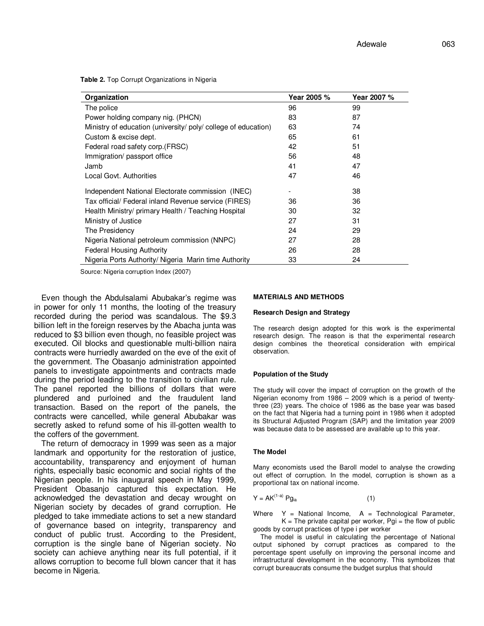**Table 2.** Top Corrupt Organizations in Nigeria

|                                                                    | Year 2005 %<br>Year 2007 % |
|--------------------------------------------------------------------|----------------------------|
| 96<br>The police                                                   | 99                         |
| 83<br>Power holding company nig. (PHCN)                            | 87                         |
| Ministry of education (university/poly/college of education)<br>63 | 74                         |
| 65<br>Custom & excise dept.                                        | 61                         |
| Federal road safety corp.(FRSC)<br>42                              | 51                         |
| 56<br>Immigration/ passport office                                 | 48                         |
| 41<br>Jamb                                                         | 47                         |
| 47<br>Local Govt. Authorities                                      | 46                         |
| Independent National Electorate commission (INEC)                  | 38                         |
| Tax official/ Federal inland Revenue service (FIRES)<br>36         | 36                         |
| Health Ministry/ primary Health / Teaching Hospital<br>30          | 32                         |
| 27<br>Ministry of Justice                                          | 31                         |
| 24<br>The Presidency                                               | 29                         |
| Nigeria National petroleum commission (NNPC)<br>27                 | 28                         |
| 26<br><b>Federal Housing Authority</b>                             | 28                         |
| Nigeria Ports Authority/ Nigeria Marin time Authority<br>33        | 24                         |

Source: Nigeria corruption Index (2007)

Even though the Abdulsalami Abubakar's regime was in power for only 11 months, the looting of the treasury recorded during the period was scandalous. The \$9.3 billion left in the foreign reserves by the Abacha junta was reduced to \$3 billion even though, no feasible project was executed. Oil blocks and questionable multi-billion naira contracts were hurriedly awarded on the eve of the exit of the government. The Obasanjo administration appointed panels to investigate appointments and contracts made during the period leading to the transition to civilian rule. The panel reported the billions of dollars that were plundered and purloined and the fraudulent land transaction. Based on the report of the panels, the contracts were cancelled, while general Abubakar was secretly asked to refund some of his ill-gotten wealth to the coffers of the government.

The return of democracy in 1999 was seen as a major landmark and opportunity for the restoration of justice, accountability, transparency and enjoyment of human rights, especially basic economic and social rights of the Nigerian people. In his inaugural speech in May 1999, President Obasanjo captured this expectation. He acknowledged the devastation and decay wrought on Nigerian society by decades of grand corruption. He pledged to take immediate actions to set a new standard of governance based on integrity, transparency and conduct of public trust. According to the President, corruption is the single bane of Nigerian society. No society can achieve anything near its full potential, if it allows corruption to become full blown cancer that it has become in Nigeria.

#### **MATERIALS AND METHODS**

#### **Research Design and Strategy**

The research design adopted for this work is the experimental research design. The reason is that the experimental research design combines the theoretical consideration with empirical observation.

#### **Population of the Study**

The study will cover the impact of corruption on the growth of the Nigerian economy from 1986 – 2009 which is a period of twentythree (23) years. The choice of 1986 as the base year was based on the fact that Nigeria had a turning point in 1986 when it adopted its Structural Adjusted Program (SAP) and the limitation year 2009 was because data to be assessed are available up to this year.

#### **The Model**

Many economists used the Baroll model to analyse the crowding out effect of corruption. In the model, corruption is shown as a proportional tax on national income.

$$
Y = AK^{(1-a)}\,Pg_{ia} \tag{1}
$$

Where  $Y =$  National Income,  $A =$  Technological Parameter,  $K =$  The private capital per worker, Pgi = the flow of public goods by corrupt practices of type i per worker

The model is useful in calculating the percentage of National output siphoned by corrupt practices as compared to the percentage spent usefully on improving the personal income and infrastructural development in the economy. This symbolizes that corrupt bureaucrats consume the budget surplus that should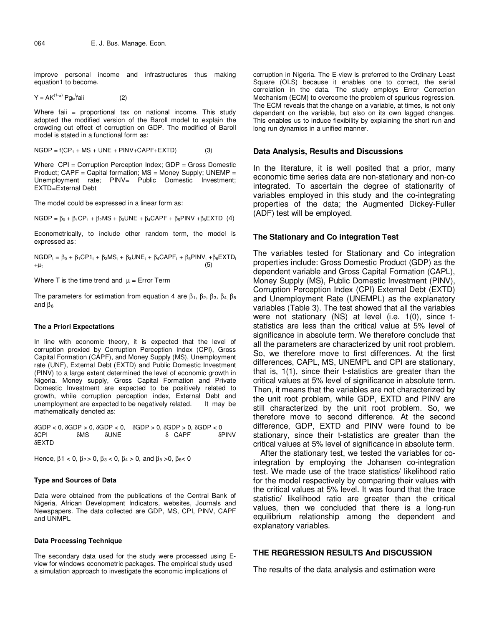improve personal income and infrastructures thus making equation1 to become.

$$
Y = AK^{(1-\alpha)} P g_{ia}^{i} f a i i \qquad (2)
$$

Where faii = proportional tax on national income. This study adopted the modified version of the Baroll model to explain the crowding out effect of corruption on GDP. The modified of Baroll model is stated in a functional form as:

$$
NGDP = f(CP1 + MS + UNE + PINV + CAPF + EXTD)
$$
 (3)

Where CPI = Corruption Perception Index; GDP = Gross Domestic Product; CAPF = Capital formation; MS = Money Supply; UNEMP = Unemployment rate; PINV= Public Domestic Investment; EXTD=External Debt

The model could be expressed in a linear form as:

NGDP =  $\beta_0$  +  $\beta_1$ CP<sub>1</sub> +  $\beta_2$ MS +  $\beta_3$ UNE +  $\beta_4$ CAPF +  $\beta_5$ PINV + $\beta_6$ EXTD (4)

Econometrically, to include other random term, the model is expressed as:

 $NGDP_t = \beta_0 + \beta_1 CP1_t + \beta_2 MS_t + \beta_3 UNE_t + \beta_4 CAPF_t + \beta_5 PINV_t + \beta_6 EXTD_t$  $+\mu_t$  (5)

Where T is the time trend and  $\mu$  = Error Term

The parameters for estimation from equation 4 are  $\beta_1$ ,  $\beta_2$ ,  $\beta_3$ ,  $\beta_4$ ,  $\beta_5$ and  $β<sub>6</sub>$ 

#### **The a Priori Expectations**

In line with economic theory, it is expected that the level of corruption proxied by Corruption Perception Index (CPI), Gross Capital Formation (CAPF), and Money Supply (MS), Unemployment rate (UNF), External Debt (EXTD) and Public Domestic Investment (PINV) to a large extent determined the level of economic growth in Nigeria. Money supply, Gross Capital Formation and Private Domestic Investment are expected to be positively related to growth, while corruption perception index, External Debt and unemployment are expected to be negatively related. It may be mathematically denoted as:

 $\delta$ GDP < 0,  $\delta$ GDP > 0,  $\delta$ GDP < 0,  $\delta$ GDP > 0,  $\delta$ GDP > 0,  $\delta$ GDP < 0 δCPI δMS δUNE δ CAPF δPINV δEXTD

Hence,  $\beta$ 1 < 0,  $\beta$ <sub>2</sub> > 0,  $\beta$ <sub>3</sub> < 0,  $\beta$ <sub>4</sub> > 0, and  $\beta$ <sub>5</sub> > 0,  $\beta$ <sub>6</sub> < 0

#### **Type and Sources of Data**

Data were obtained from the publications of the Central Bank of Nigeria, African Development Indicators, websites, Journals and Newspapers. The data collected are GDP, MS, CPI, PINV, CAPF and UNMPL

#### **Data Processing Technique**

The secondary data used for the study were processed using Eview for windows econometric packages. The empirical study used a simulation approach to investigate the economic implications of

corruption in Nigeria. The E-view is preferred to the Ordinary Least Square (OLS) because it enables one to correct, the serial correlation in the data. The study employs Error Correction Mechanism (ECM) to overcome the problem of spurious regression. The ECM reveals that the change on a variable, at times, is not only dependent on the variable, but also on its own lagged changes. This enables us to induce flexibility by explaining the short run and long run dynamics in a unified manner.

### **Data Analysis, Results and Discussions**

In the literature, it is well posited that a prior, many economic time series data are non-stationary and non-co integrated. To ascertain the degree of stationarity of variables employed in this study and the co-integrating properties of the data; the Augmented Dickey-Fuller (ADF) test will be employed.

## **The Stationary and Co integration Test**

The variables tested for Stationary and Co integration properties include: Gross Domestic Product (GDP) as the dependent variable and Gross Capital Formation (CAPL), Money Supply (MS), Public Domestic Investment (PINV), Corruption Perception Index (CPI) External Debt (EXTD) and Unemployment Rate (UNEMPL) as the explanatory variables (Table 3). The test showed that all the variables were not stationary (NS) at level (i.e. 1(0), since tstatistics are less than the critical value at 5% level of significance in absolute term. We therefore conclude that all the parameters are characterized by unit root problem. So, we therefore move to first differences. At the first differences, CAPL, MS, UNEMPL and CPI are stationary, that is, 1(1), since their t-statistics are greater than the critical values at 5% level of significance in absolute term. Then, it means that the variables are not characterized by the unit root problem, while GDP, EXTD and PINV are still characterized by the unit root problem. So, we therefore move to second difference. At the second difference, GDP, EXTD and PINV were found to be stationary, since their t-statistics are greater than the critical values at 5% level of significance in absolute term.

After the stationary test, we tested the variables for cointegration by employing the Johansen co-integration test. We made use of the trace statistics/ likelihood ratio for the model respectively by comparing their values with the critical values at 5% level. It was found that the trace statistic/ likelihood ratio are greater than the critical values, then we concluded that there is a long-run equilibrium relationship among the dependent and explanatory variables.

## **THE REGRESSION RESULTS And DISCUSSION**

The results of the data analysis and estimation were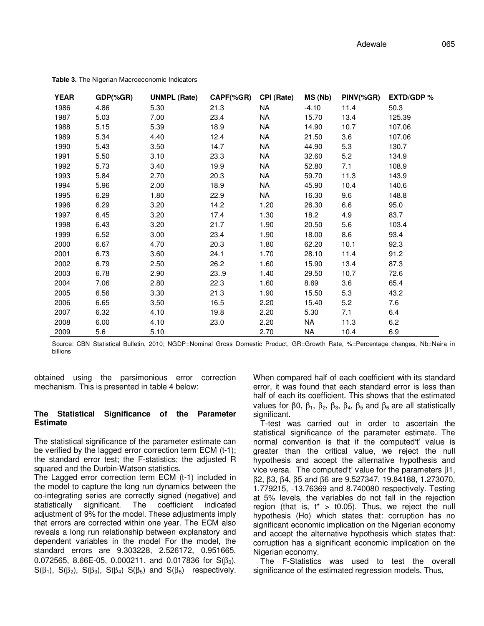| <b>YEAR</b> | GDP(%GR) | <b>UNMPL (Rate)</b> | CAPF(%GR) | <b>CPI (Rate)</b> | MS (Nb) | PINV(%GR) | <b>EXTD/GDP %</b> |
|-------------|----------|---------------------|-----------|-------------------|---------|-----------|-------------------|
| 1986        | 4.86     | 5.30                | 21.3      | <b>NA</b>         | $-4.10$ | 11.4      | 50.3              |
| 1987        | 5.03     | 7.00                | 23.4      | <b>NA</b>         | 15.70   | 13.4      | 125.39            |
| 1988        | 5.15     | 5.39                | 18.9      | <b>NA</b>         | 14.90   | 10.7      | 107.06            |
| 1989        | 5.34     | 4.40                | 12.4      | NA                | 21.50   | 3.6       | 107.06            |
| 1990        | 5.43     | 3.50                | 14.7      | NA                | 44.90   | 5.3       | 130.7             |
| 1991        | 5.50     | 3.10                | 23.3      | NA                | 32.60   | 5.2       | 134.9             |
| 1992        | 5.73     | 3.40                | 19.9      | NA                | 52.80   | 7.1       | 108.9             |
| 1993        | 5.84     | 2.70                | 20.3      | NA                | 59.70   | 11.3      | 143.9             |
| 1994        | 5.96     | 2.00                | 18.9      | NA                | 45.90   | 10.4      | 140.6             |
| 1995        | 6.29     | 1.80                | 22.9      | NA                | 16.30   | 9.6       | 148.8             |
| 1996        | 6.29     | 3.20                | 14.2      | 1.20              | 26.30   | 6.6       | 95.0              |
| 1997        | 6.45     | 3.20                | 17.4      | 1.30              | 18.2    | 4.9       | 83.7              |
| 1998        | 6.43     | 3.20                | 21.7      | 1.90              | 20.50   | 5.6       | 103.4             |
| 1999        | 6.52     | 3.00                | 23.4      | 1.90              | 18.00   | 8.6       | 93.4              |
| 2000        | 6.67     | 4.70                | 20.3      | 1.80              | 62.20   | 10.1      | 92.3              |
| 2001        | 6.73     | 3.60                | 24.1      | 1.70              | 28.10   | 11.4      | 91.2              |
| 2002        | 6.79     | 2.50                | 26.2      | 1.60              | 15.90   | 13.4      | 87.3              |
| 2003        | 6.78     | 2.90                | 23.9      | 1.40              | 29.50   | 10.7      | 72.6              |
| 2004        | 7.06     | 2.80                | 22.3      | 1.60              | 8.69    | 3.6       | 65.4              |
| 2005        | 6.56     | 3.30                | 21.3      | 1.90              | 15.50   | 5.3       | 43.2              |
| 2006        | 6.65     | 3.50                | 16.5      | 2.20              | 15.40   | 5.2       | 7.6               |
| 2007        | 6.32     | 4.10                | 19.8      | 2.20              | 5.30    | 7.1       | 6.4               |
| 2008        | 6.00     | 4.10                | 23.0      | 2.20              | NA      | 11.3      | 6.2               |
| 2009        | 5.6      | 5.10                |           | 2.70              | NA      | 10.4      | 6.9               |

**Table 3.** The Nigerian Macroeconomic Indicators

Source: CBN Statistical Bulletin, 2010; NGDP=Nominal Gross Domestic Product, GR=Growth Rate, %=Percentage changes, Nb=Naira in billions

obtained using the parsimonious error correction mechanism. This is presented in table 4 below:

## **The Statistical Significance of the Parameter Estimate**

The statistical significance of the parameter estimate can be verified by the lagged error correction term ECM (t-1); the standard error test; the F-statistics; the adjusted R squared and the Durbin-Watson statistics.

The Lagged error correction term ECM (t-1) included in the model to capture the long run dynamics between the co-integrating series are correctly signed (negative) and statistically significant. The coefficient indicated adjustment of 9% for the model. These adjustments imply that errors are corrected within one year. The ECM also reveals a long run relationship between explanatory and dependent variables in the model For the model, the standard errors are 9.303228, 2.526172, 0.951665, 0.072565, 8.66E-05, 0.000211, and 0.017836 for  $S(\beta_0)$ , S( $\beta_1$ ), S( $\beta_2$ ), S( $\beta_3$ ), S( $\beta_4$ ) S( $\beta_5$ ) and S( $\beta_6$ ) respectively. When compared half of each coefficient with its standard error, it was found that each standard error is less than half of each its coefficient. This shows that the estimated values for β0,  $\beta_1$ ,  $\beta_2$ ,  $\beta_3$ ,  $\beta_4$ ,  $\beta_5$  and  $\beta_6$  are all statistically significant.

T-test was carried out in order to ascertain the statistical significance of the parameter estimate. The normal convention is that if the computed't' value is greater than the critical value, we reject the null hypothesis and accept the alternative hypothesis and vice versa. The computed't' value for the parameters β1, β2, β3, β4, β5 and β6 are 9.527347, 19.84188, 1.273070, 1.779215, -13.76369 and 8.740080 respectively. Testing at 5% levels, the variables do not fall in the rejection region (that is,  $t^* > t0.05$ ). Thus, we reject the null hypothesis (Ho) which states that: corruption has no significant economic implication on the Nigerian economy and accept the alternative hypothesis which states that: corruption has a significant economic implication on the Nigerian economy.

The F-Statistics was used to test the overall significance of the estimated regression models. Thus,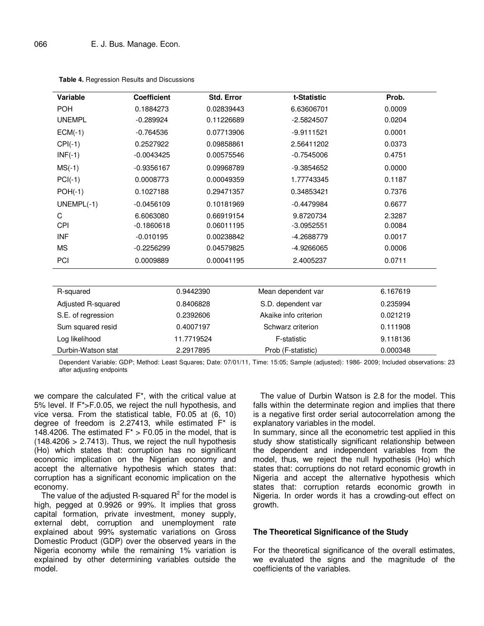| <b>Variable</b>    | <b>Coefficient</b> | Std. Error | t-Statistic           | Prob.    |
|--------------------|--------------------|------------|-----------------------|----------|
| <b>POH</b>         | 0.1884273          | 0.02839443 | 6.63606701            | 0.0009   |
| <b>UNEMPL</b>      | $-0.289924$        | 0.11226689 | $-2.5824507$          | 0.0204   |
| $ECM(-1)$          | $-0.764536$        | 0.07713906 | $-9.9111521$          | 0.0001   |
| $CPI(-1)$          | 0.2527922          | 0.09858861 | 2.56411202            | 0.0373   |
| $INF(-1)$          | $-0.0043425$       | 0.00575546 | $-0.7545006$          | 0.4751   |
| $MS(-1)$           | $-0.9356167$       | 0.09968789 | -9.3854652            | 0.0000   |
| $PCI(-1)$          | 0.0008773          | 0.00049359 | 1.77743345            | 0.1187   |
| $POH(-1)$          | 0.1027188          | 0.29471357 | 0.34853421            | 0.7376   |
| $UNEMPL(-1)$       | $-0.0456109$       | 0.10181969 | $-0.4479984$          | 0.6677   |
| C                  | 6.6063080          | 0.66919154 | 9.8720734             | 2.3287   |
| CPI                | $-0.1860618$       | 0.06011195 | $-3.0952551$          | 0.0084   |
| <b>INF</b>         | $-0.010195$        | 0.00238842 | -4.2688779            | 0.0017   |
| <b>MS</b>          | $-0.2256299$       | 0.04579825 | -4.9266065            | 0.0006   |
| PCI                | 0.0009889          | 0.00041195 | 2.4005237             | 0.0711   |
|                    |                    |            |                       |          |
| R-squared          | 0.9442390          |            | Mean dependent var    | 6.167619 |
| Adjusted R-squared | 0.8406828          |            | S.D. dependent var    | 0.235994 |
| S.E. of regression | 0.2392606          |            | Akaike info criterion | 0.021219 |
| Sum squared resid  | 0.4007197          |            | Schwarz criterion     | 0.111908 |
| Log likelihood     | 11.7719524         |            | F-statistic           | 9.118136 |
| Durbin-Watson stat | 2.2917895          |            | Prob (F-statistic)    | 0.000348 |

**Table 4.** Regression Results and Discussions

Dependent Variable: GDP; Method: Least Squares; Date: 07/01/11, Time: 15:05; Sample (adjusted): 1986- 2009; Included observations: 23 after adjusting endpoints

we compare the calculated F\*, with the critical value at 5% level. If F\*>F.0.05, we reject the null hypothesis, and vice versa. From the statistical table, F0.05 at (6, 10) degree of freedom is 2.27413, while estimated F\* is 148.4206. The estimated  $F^* > F0.05$  in the model, that is  $(148.4206 > 2.7413)$ . Thus, we reject the null hypothesis (Ho) which states that: corruption has no significant economic implication on the Nigerian economy and accept the alternative hypothesis which states that: corruption has a significant economic implication on the economy.

The value of the adjusted R-squared  $R^2$  for the model is high, pegged at 0.9926 or 99%. It implies that gross capital formation, private investment, money supply, external debt, corruption and unemployment rate explained about 99% systematic variations on Gross Domestic Product (GDP) over the observed years in the Nigeria economy while the remaining 1% variation is explained by other determining variables outside the model.

The value of Durbin Watson is 2.8 for the model. This falls within the determinate region and implies that there is a negative first order serial autocorrelation among the explanatory variables in the model.

In summary, since all the econometric test applied in this study show statistically significant relationship between the dependent and independent variables from the model, thus, we reject the null hypothesis (Ho) which states that: corruptions do not retard economic growth in Nigeria and accept the alternative hypothesis which states that: corruption retards economic growth in Nigeria. In order words it has a crowding-out effect on growth.

## **The Theoretical Significance of the Study**

For the theoretical significance of the overall estimates, we evaluated the signs and the magnitude of the coefficients of the variables.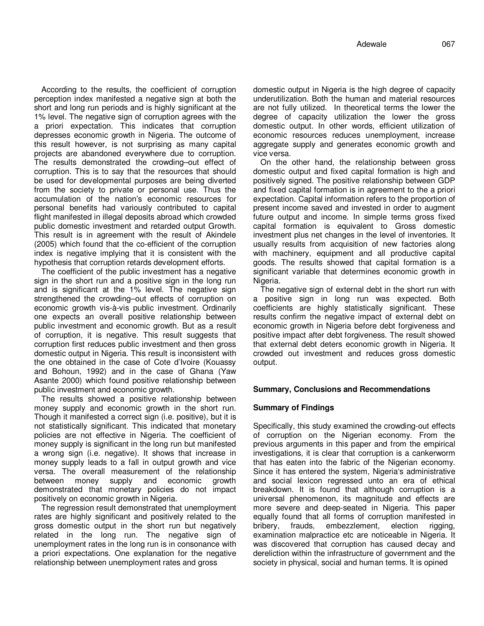According to the results, the coefficient of corruption perception index manifested a negative sign at both the short and long run periods and is highly significant at the 1% level. The negative sign of corruption agrees with the a priori expectation. This indicates that corruption depresses economic growth in Nigeria. The outcome of this result however, is not surprising as many capital projects are abandoned everywhere due to corruption. The results demonstrated the crowding–out effect of corruption. This is to say that the resources that should be used for developmental purposes are being diverted from the society to private or personal use. Thus the accumulation of the nation's economic resources for personal benefits had variously contributed to capital flight manifested in illegal deposits abroad which crowded public domestic investment and retarded output Growth. This result is in agreement with the result of Akindele (2005) which found that the co-efficient of the corruption index is negative implying that it is consistent with the hypothesis that corruption retards development efforts.

The coefficient of the public investment has a negative sign in the short run and a positive sign in the long run and is significant at the 1% level. The negative sign strengthened the crowding–out effects of corruption on economic growth vis-à-vis public investment. Ordinarily one expects an overall positive relationship between public investment and economic growth. But as a result of corruption, it is negative. This result suggests that corruption first reduces public investment and then gross domestic output in Nigeria. This result is inconsistent with the one obtained in the case of Cote d'Ivoire (Kouassy and Bohoun, 1992) and in the case of Ghana (Yaw Asante 2000) which found positive relationship between public investment and economic growth.

The results showed a positive relationship between money supply and economic growth in the short run. Though it manifested a correct sign (i.e. positive), but it is not statistically significant. This indicated that monetary policies are not effective in Nigeria. The coefficient of money supply is significant in the long run but manifested a wrong sign (i.e. negative). It shows that increase in money supply leads to a fall in output growth and vice versa. The overall measurement of the relationship between money supply and economic growth demonstrated that monetary policies do not impact positively on economic growth in Nigeria.

The regression result demonstrated that unemployment rates are highly significant and positively related to the gross domestic output in the short run but negatively related in the long run. The negative sign of unemployment rates in the long run is in consonance with a priori expectations. One explanation for the negative relationship between unemployment rates and gross

domestic output in Nigeria is the high degree of capacity underutilization. Both the human and material resources are not fully utilized. In theoretical terms the lower the degree of capacity utilization the lower the gross domestic output. In other words, efficient utilization of economic resources reduces unemployment, increase aggregate supply and generates economic growth and vice versa.

On the other hand, the relationship between gross domestic output and fixed capital formation is high and positively signed. The positive relationship between GDP and fixed capital formation is in agreement to the a priori expectation. Capital information refers to the proportion of present income saved and invested in order to augment future output and income. In simple terms gross fixed capital formation is equivalent to Gross domestic investment plus net changes in the level of inventories. It usually results from acquisition of new factories along with machinery, equipment and all productive capital goods. The results showed that capital formation is a significant variable that determines economic growth in Nigeria.

The negative sign of external debt in the short run with a positive sign in long run was expected. Both coefficients are highly statistically significant. These results confirm the negative impact of external debt on economic growth in Nigeria before debt forgiveness and positive impact after debt forgiveness. The result showed that external debt deters economic growth in Nigeria. It crowded out investment and reduces gross domestic output.

# **Summary, Conclusions and Recommendations**

# **Summary of Findings**

Specifically, this study examined the crowding-out effects of corruption on the Nigerian economy. From the previous arguments in this paper and from the empirical investigations, it is clear that corruption is a cankerworm that has eaten into the fabric of the Nigerian economy. Since it has entered the system, Nigeria's administrative and social lexicon regressed unto an era of ethical breakdown. It is found that although corruption is a universal phenomenon, its magnitude and effects are more severe and deep-seated in Nigeria. This paper equally found that all forms of corruption manifested in bribery, frauds, embezzlement, election rigging, examination malpractice etc are noticeable in Nigeria. It was discovered that corruption has caused decay and dereliction within the infrastructure of government and the society in physical, social and human terms. It is opined